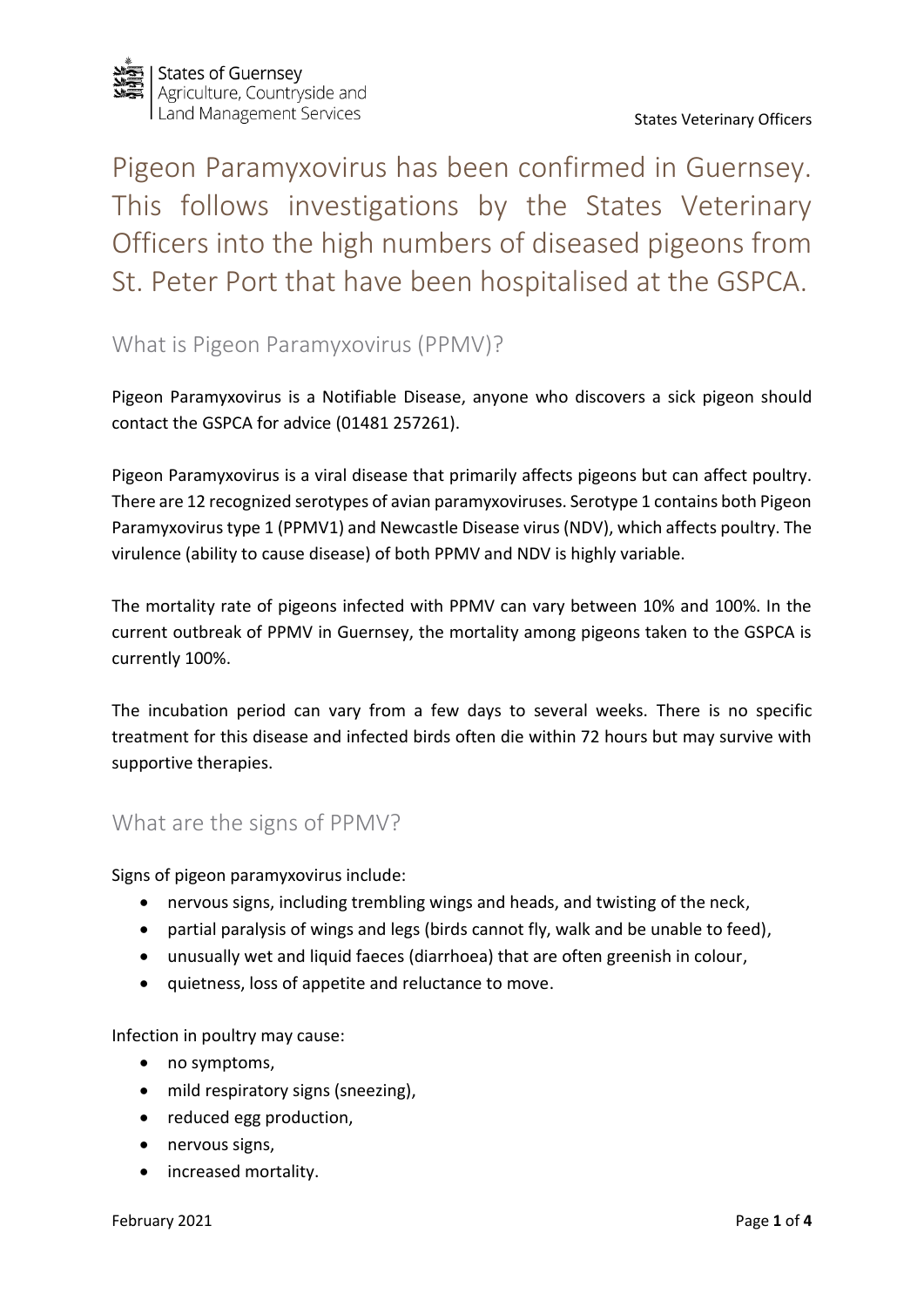

Pigeon Paramyxovirus has been confirmed in Guernsey. This follows investigations by the States Veterinary Officers into the high numbers of diseased pigeons from St. Peter Port that have been hospitalised at the GSPCA.

# What is Pigeon Paramyxovirus (PPMV)?

Pigeon Paramyxovirus is a Notifiable Disease, anyone who discovers a sick pigeon should contact the GSPCA for advice (01481 257261).

Pigeon Paramyxovirus is a viral disease that primarily affects pigeons but can affect poultry. There are 12 recognized serotypes of avian paramyxoviruses. Serotype 1 contains both Pigeon Paramyxovirus type 1 (PPMV1) and Newcastle Disease virus (NDV), which affects poultry. The virulence (ability to cause disease) of both PPMV and NDV is highly variable.

The mortality rate of pigeons infected with PPMV can vary between 10% and 100%. In the current outbreak of PPMV in Guernsey, the mortality among pigeons taken to the GSPCA is currently 100%.

The incubation period can vary from a few days to several weeks. There is no specific treatment for this disease and infected birds often die within 72 hours but may survive with supportive therapies.

#### What are the signs of PPMV?

Signs of pigeon paramyxovirus include:

- nervous signs, including trembling wings and heads, and twisting of the neck,
- partial paralysis of wings and legs (birds cannot fly, walk and be unable to feed),
- unusually wet and liquid faeces (diarrhoea) that are often greenish in colour,
- quietness, loss of appetite and reluctance to move.

Infection in poultry may cause:

- no symptoms,
- mild respiratory signs (sneezing),
- reduced egg production,
- nervous signs,
- increased mortality.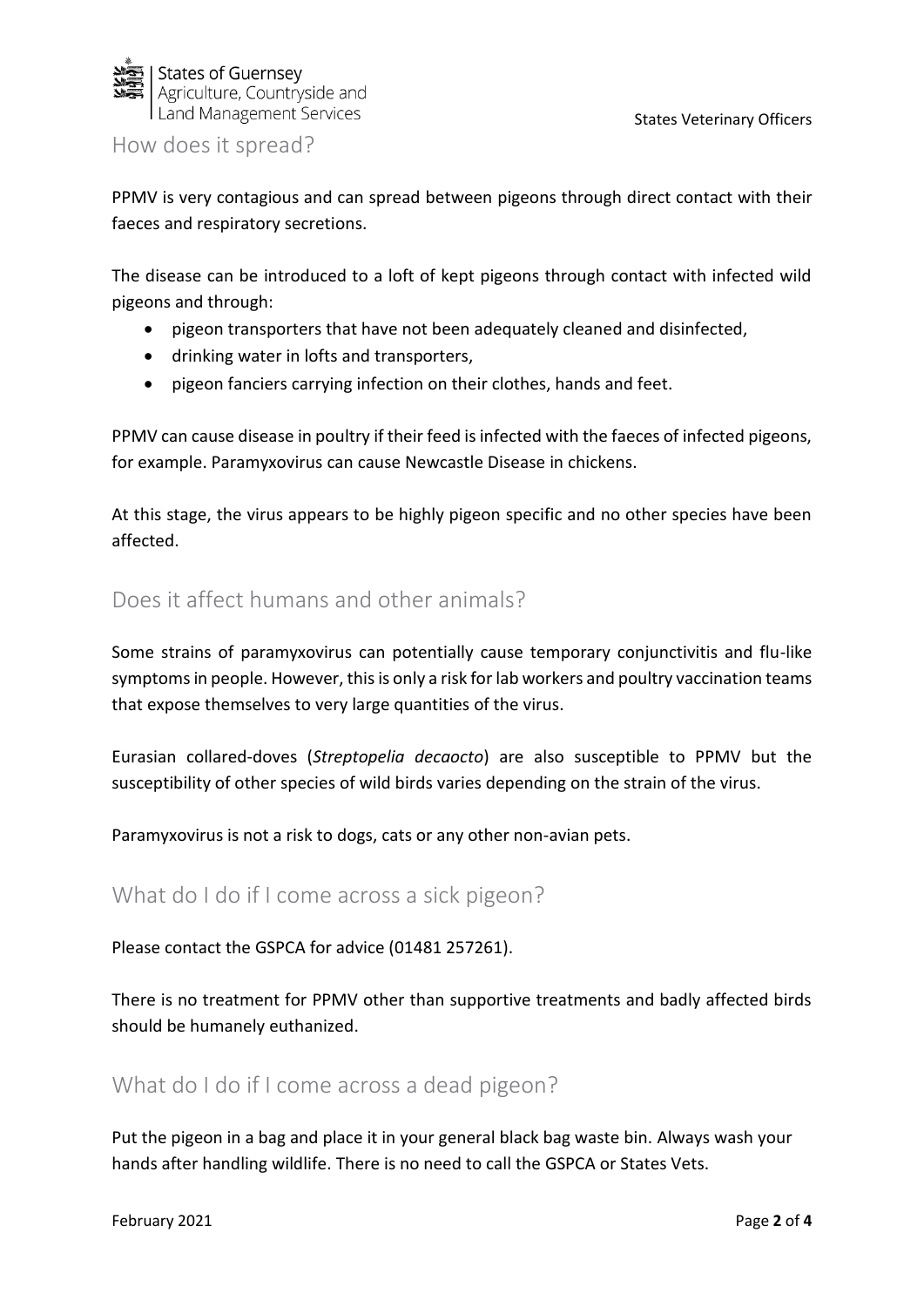

How does it spread?

PPMV is very contagious and can spread between pigeons through direct contact with their faeces and respiratory secretions.

The disease can be introduced to a loft of kept pigeons through contact with infected wild pigeons and through:

- pigeon transporters that have not been adequately cleaned and disinfected,
- drinking water in lofts and transporters,
- pigeon fanciers carrying infection on their clothes, hands and feet.

PPMV can cause disease in poultry if their feed is infected with the faeces of infected pigeons, for example. Paramyxovirus can cause Newcastle Disease in chickens.

At this stage, the virus appears to be highly pigeon specific and no other species have been affected.

# Does it affect humans and other animals?

Some strains of paramyxovirus can potentially cause temporary conjunctivitis and flu-like symptoms in people. However, this is only a risk for lab workers and poultry vaccination teams that expose themselves to very large quantities of the virus.

Eurasian collared-doves (*Streptopelia decaocto*) are also susceptible to PPMV but the susceptibility of other species of wild birds varies depending on the strain of the virus.

Paramyxovirus is not a risk to dogs, cats or any other non-avian pets.

## What do I do if I come across a sick pigeon?

Please contact the GSPCA for advice (01481 257261).

There is no treatment for PPMV other than supportive treatments and badly affected birds should be humanely euthanized.

### What do I do if I come across a dead pigeon?

Put the pigeon in a bag and place it in your general black bag waste bin. Always wash your hands after handling wildlife. There is no need to call the GSPCA or States Vets.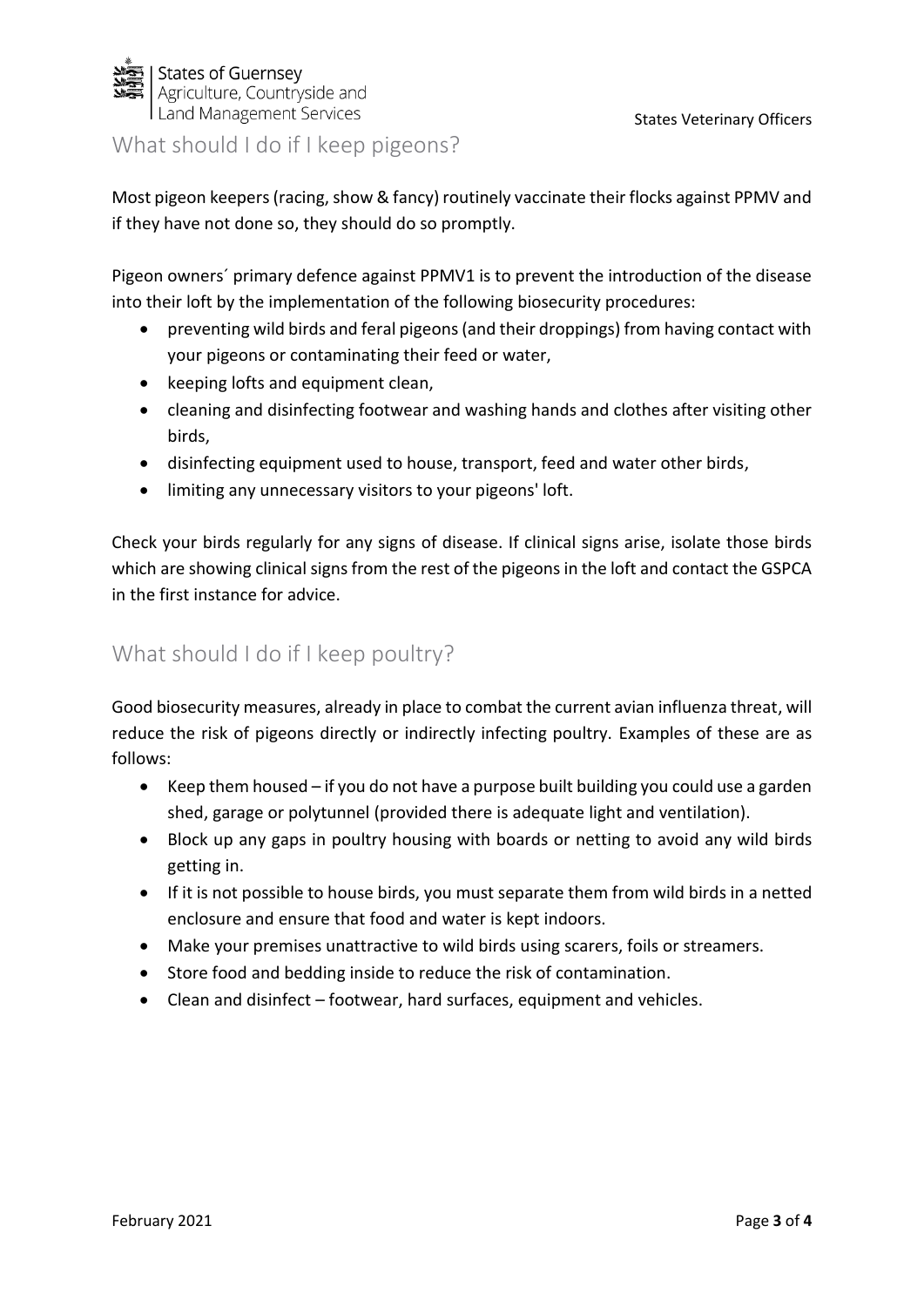

States Veterinary Officers

#### What should I do if I keep pigeons?

Most pigeon keepers (racing, show & fancy) routinely vaccinate their flocks against PPMV and if they have not done so, they should do so promptly.

Pigeon owners´ primary defence against PPMV1 is to prevent the introduction of the disease into their loft by the implementation of the following biosecurity procedures:

- preventing wild birds and feral pigeons (and their droppings) from having contact with your pigeons or contaminating their feed or water,
- keeping lofts and equipment clean,
- cleaning and disinfecting footwear and washing hands and clothes after visiting other birds,
- disinfecting equipment used to house, transport, feed and water other birds,
- limiting any unnecessary visitors to your pigeons' loft.

Check your birds regularly for any signs of disease. If clinical signs arise, isolate those birds which are showing clinical signs from the rest of the pigeons in the loft and contact the GSPCA in the first instance for advice.

## What should I do if I keep poultry?

Good biosecurity measures, already in place to combat the current avian influenza threat, will reduce the risk of pigeons directly or indirectly infecting poultry. Examples of these are as follows:

- Keep them housed if you do not have a purpose built building you could use a garden shed, garage or polytunnel (provided there is adequate light and ventilation).
- Block up any gaps in poultry housing with boards or netting to avoid any wild birds getting in.
- If it is not possible to house birds, you must separate them from wild birds in a netted enclosure and ensure that food and water is kept indoors.
- Make your premises unattractive to wild birds using scarers, foils or streamers.
- Store food and bedding inside to reduce the risk of contamination.
- Clean and disinfect footwear, hard surfaces, equipment and vehicles.